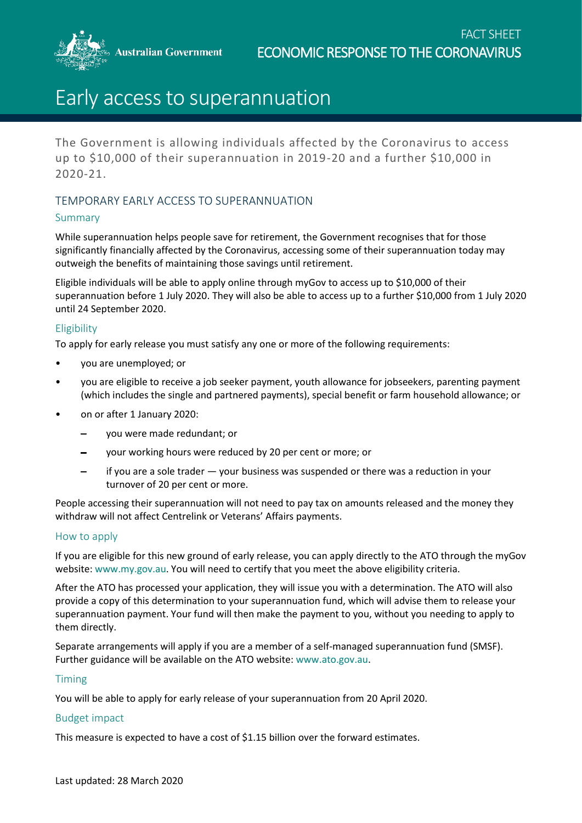**Australian Government** 

# Early access to superannuation

The Government is allowing individuals affected by the Coronavirus to access up to \$10,000 of their superannuation in 2019-20 and a further \$10,000 in 2020-21.

## TEMPORARY EARLY ACCESS TO SUPERANNUATION

## Summary

While superannuation helps people save for retirement, the Government recognises that for those significantly financially affected by the Coronavirus, accessing some of their superannuation today may outweigh the benefits of maintaining those savings until retirement.

Eligible individuals will be able to apply online through myGov to access up to \$10,000 of their superannuation before 1 July 2020. They will also be able to access up to a further \$10,000 from 1 July 2020 until 24 September 2020.

## **Eligibility**

To apply for early release you must satisfy any one or more of the following requirements:

- you are unemployed; or
- you are eligible to receive a job seeker payment, youth allowance for jobseekers, parenting payment (which includes the single and partnered payments), special benefit or farm household allowance; or
- on or after 1 January 2020:
	- you were made redundant; or
	- your working hours were reduced by 20 per cent or more; or
	- if you are a sole trader your business was suspended or there was a reduction in your turnover of 20 per cent or more.

People accessing their superannuation will not need to pay tax on amounts released and the money they withdraw will not affect Centrelink or Veterans' Affairs payments.

### How to apply

If you are eligible for this new ground of early release, you can apply directly to the ATO through the myGov website: [www.my.gov.au.](http://www.my.gov.au/) You will need to certify that you meet the above eligibility criteria.

After the ATO has processed your application, they will issue you with a determination. The ATO will also provide a copy of this determination to your superannuation fund, which will advise them to release your superannuation payment. Your fund will then make the payment to you, without you needing to apply to them directly.

Separate arrangements will apply if you are a member of a self-managed superannuation fund (SMSF). Further guidance will be available on the ATO website: [www.ato.gov.au.](http://www.ato.gov.au/)

### Timing

You will be able to apply for early release of your superannuation from 20 April 2020.

### Budget impact

This measure is expected to have a cost of \$1.15 billion over the forward estimates.